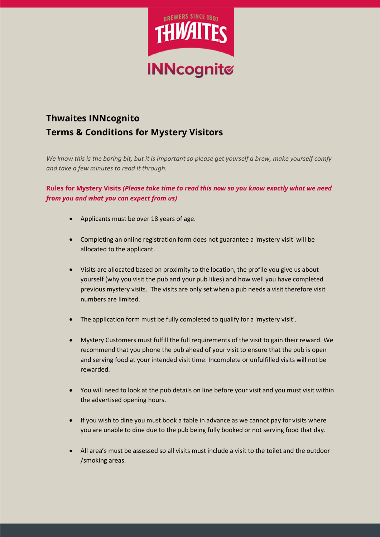

# **Thwaites INNcognito Terms & Conditions for Mystery Visitors**

*We know this is the boring bit, but it is important so please get yourself a brew, make yourself comfy and take a few minutes to read it through.*

## **Rules for Mystery Visits** *(Please take time to read this now so you know exactly what we need from you and what you can expect from us)*

- Applicants must be over 18 years of age.
- Completing an online registration form does not guarantee a 'mystery visit' will be allocated to the applicant.
- Visits are allocated based on proximity to the location, the profile you give us about yourself (why you visit the pub and your pub likes) and how well you have completed previous mystery visits. The visits are only set when a pub needs a visit therefore visit numbers are limited.
- The application form must be fully completed to qualify for a 'mystery visit'.
- Mystery Customers must fulfill the full requirements of the visit to gain their reward. We recommend that you phone the pub ahead of your visit to ensure that the pub is open and serving food at your intended visit time. Incomplete or unfulfilled visits will not be rewarded.
- You will need to look at the pub details on line before your visit and you must visit within the advertised opening hours.
- If you wish to dine you must book a table in advance as we cannot pay for visits where you are unable to dine due to the pub being fully booked or not serving food that day.
- All area's must be assessed so all visits must include a visit to the toilet and the outdoor /smoking areas.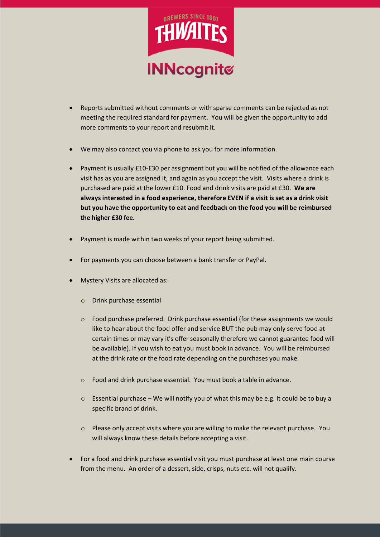

- Reports submitted without comments or with sparse comments can be rejected as not meeting the required standard for payment. You will be given the opportunity to add more comments to your report and resubmit it.
- We may also contact you via phone to ask you for more information.
- Payment is usually £10-£30 per assignment but you will be notified of the allowance each visit has as you are assigned it, and again as you accept the visit. Visits where a drink is purchased are paid at the lower £10. Food and drink visits are paid at £30. **We are always interested in a food experience, therefore EVEN if a visit is set as a drink visit but you have the opportunity to eat and feedback on the food you will be reimbursed the higher £30 fee.**
- Payment is made within two weeks of your report being submitted.
- For payments you can choose between a bank transfer or PayPal.
- Mystery Visits are allocated as:
	- o Drink purchase essential
	- $\circ$  Food purchase preferred. Drink purchase essential (for these assignments we would like to hear about the food offer and service BUT the pub may only serve food at certain times or may vary it's offer seasonally therefore we cannot guarantee food will be available). If you wish to eat you must book in advance. You will be reimbursed at the drink rate or the food rate depending on the purchases you make.
	- o Food and drink purchase essential. You must book a table in advance.
	- $\circ$  Essential purchase We will notify you of what this may be e.g. It could be to buy a specific brand of drink.
	- o Please only accept visits where you are willing to make the relevant purchase. You will always know these details before accepting a visit.
- For a food and drink purchase essential visit you must purchase at least one main course from the menu. An order of a dessert, side, crisps, nuts etc. will not qualify.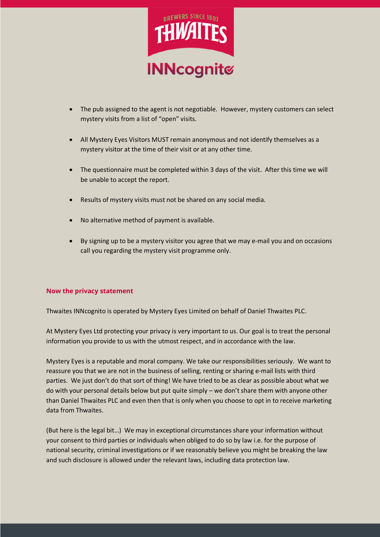

- The pub assigned to the agent is not negotiable. However, mystery customers can select mystery visits from a list of "open" visits.
- All Mystery Eyes Visitors MUST remain anonymous and not identify themselves as a mystery visitor at the time of their visit or at any other time.
- The questionnaire must be completed within 3 days of the visit. After this time we will be unable to accept the report.
- Results of mystery visits must not be shared on any social media.
- No alternative method of payment is available.
- By signing up to be a mystery visitor you agree that we may e-mail you and on occasions call you regarding the mystery visit programme only.

## **Now the privacy statement**

Thwaites INNcognito is operated by Mystery Eyes Limited on behalf of Daniel Thwaites PLC.

At Mystery Eyes Ltd protecting your privacy is very important to us. Our goal is to treat the personal information you provide to us with the utmost respect, and in accordance with the law.

Mystery Eyes is a reputable and moral company. We take our responsibilities seriously. We want to reassure you that we are not in the business of selling, renting or sharing e-mail lists with third parties. We just don't do that sort of thing! We have tried to be as clear as possible about what we do with your personal details below but put quite simply – we don't share them with anyone other than Daniel Thwaites PLC and even then that is only when you choose to opt in to receive marketing data from Thwaites.

(But here is the legal bit…) We may in exceptional circumstances share your information without your consent to third parties or individuals when obliged to do so by law i.e. for the purpose of national security, criminal investigations or if we reasonably believe you might be breaking the law and such disclosure is allowed under the relevant laws, including data protection law.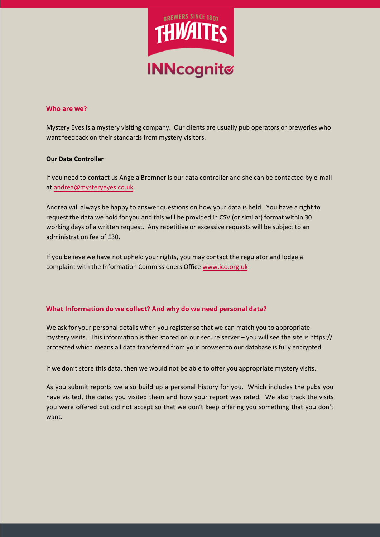

## **Who are we?**

Mystery Eyes is a mystery visiting company. Our clients are usually pub operators or breweries who want feedback on their standards from mystery visitors.

## **Our Data Controller**

If you need to contact us Angela Bremner is our data controller and she can be contacted by e-mail at andrea@mysteryeyes.co.uk

Andrea will always be happy to answer questions on how your data is held. You have a right to request the data we hold for you and this will be provided in CSV (or similar) format within 30 working days of a written request. Any repetitive or excessive requests will be subject to an administration fee of £30.

If you believe we have not upheld your rights, you may contact the regulator and lodge a complaint with the Information Commissioners Office www.ico.org.uk

## **What Information do we collect? And why do we need personal data?**

We ask for your personal details when you register so that we can match you to appropriate mystery visits. This information is then stored on our secure server – you will see the site is https:// protected which means all data transferred from your browser to our database is fully encrypted.

If we don't store this data, then we would not be able to offer you appropriate mystery visits.

As you submit reports we also build up a personal history for you. Which includes the pubs you have visited, the dates you visited them and how your report was rated. We also track the visits you were offered but did not accept so that we don't keep offering you something that you don't want.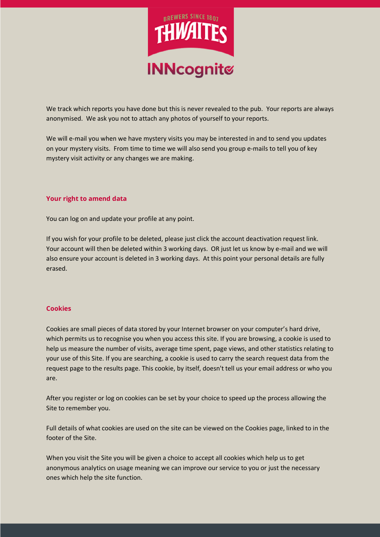

We track which reports you have done but this is never revealed to the pub. Your reports are always anonymised. We ask you not to attach any photos of yourself to your reports.

We will e-mail you when we have mystery visits you may be interested in and to send you updates on your mystery visits. From time to time we will also send you group e-mails to tell you of key mystery visit activity or any changes we are making.

## **Your right to amend data**

You can log on and update your profile at any point.

If you wish for your profile to be deleted, please just click the account deactivation request link. Your account will then be deleted within 3 working days. OR just let us know by e-mail and we will also ensure your account is deleted in 3 working days. At this point your personal details are fully erased.

#### **Cookies**

Cookies are small pieces of data stored by your Internet browser on your computer's hard drive, which permits us to recognise you when you access this site. If you are browsing, a cookie is used to help us measure the number of visits, average time spent, page views, and other statistics relating to your use of this Site. If you are searching, a cookie is used to carry the search request data from the request page to the results page. This cookie, by itself, doesn't tell us your email address or who you are.

After you register or log on cookies can be set by your choice to speed up the process allowing the Site to remember you.

Full details of what cookies are used on the site can be viewed on the Cookies page, linked to in the footer of the Site.

When you visit the Site you will be given a choice to accept all cookies which help us to get anonymous analytics on usage meaning we can improve our service to you or just the necessary ones which help the site function.